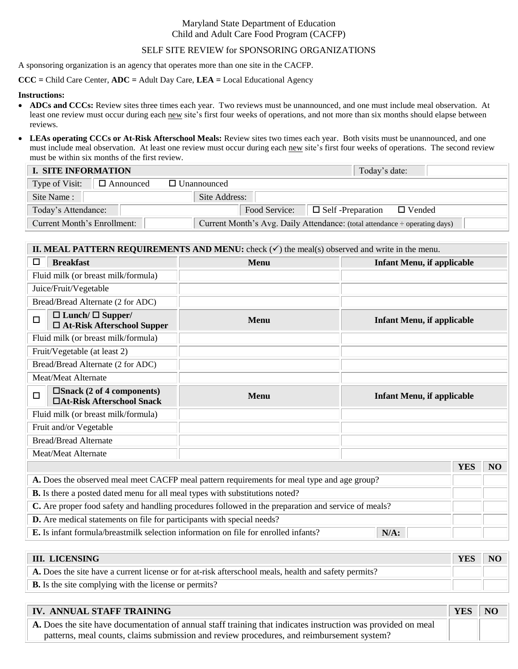## Maryland State Department of Education Child and Adult Care Food Program (CACFP)

### SELF SITE REVIEW for SPONSORING ORGANIZATIONS

A sponsoring organization is an agency that operates more than one site in the CACFP.

**CCC =** Child Care Center, **ADC =** Adult Day Care, **LEA =** Local Educational Agency

#### **Instructions:**

- **ADCs and CCCs:** Review sites three times each year. Two reviews must be unannounced, and one must include meal observation. At least one review must occur during each new site's first four weeks of operations, and not more than six months should elapse between reviews.
- **LEAs operating CCCs or At-Risk Afterschool Meals:** Review sites two times each year. Both visits must be unannounced, and one must include meal observation. At least one review must occur during each new site's first four weeks of operations. The second review must be within six months of the first review.

| <b>I. SITE INFORMATION</b>         | Today's date:                                                              |
|------------------------------------|----------------------------------------------------------------------------|
| $\Box$ Announced<br>Type of Visit: | $\Box$ Unannounced                                                         |
| Site Name:                         | Site Address:                                                              |
| Today's Attendance:                | Food Service: $\Box$ Self-Preparation $\Box$ Vended                        |
| <b>Current Month's Enrollment:</b> | Current Month's Avg. Daily Attendance: (total attendance ÷ operating days) |

## **II. MEAL PATTERN REQUIREMENTS AND MENU:** check  $(\checkmark)$  the meal(s) observed and write in the menu.

| <b>Breakfast</b><br>□                                                                               | <b>Menu</b>                                                                                 | <b>Infant Menu, if applicable</b> |            |    |
|-----------------------------------------------------------------------------------------------------|---------------------------------------------------------------------------------------------|-----------------------------------|------------|----|
| Fluid milk (or breast milk/formula)                                                                 |                                                                                             |                                   |            |    |
| Juice/Fruit/Vegetable                                                                               |                                                                                             |                                   |            |    |
| Bread/Bread Alternate (2 for ADC)                                                                   |                                                                                             |                                   |            |    |
| $\Box$ Lunch/ $\Box$ Supper/<br>$\Box$<br>$\Box$ At-Risk Afterschool Supper                         | <b>Menu</b>                                                                                 | <b>Infant Menu, if applicable</b> |            |    |
| Fluid milk (or breast milk/formula)                                                                 |                                                                                             |                                   |            |    |
| Fruit/Vegetable (at least 2)                                                                        |                                                                                             |                                   |            |    |
| Bread/Bread Alternate (2 for ADC)                                                                   |                                                                                             |                                   |            |    |
| Meat/Meat Alternate                                                                                 |                                                                                             |                                   |            |    |
| $\square$ Snack (2 of 4 components)<br>□<br>□At-Risk Afterschool Snack                              | Menu                                                                                        | <b>Infant Menu, if applicable</b> |            |    |
| Fluid milk (or breast milk/formula)                                                                 |                                                                                             |                                   |            |    |
| Fruit and/or Vegetable                                                                              |                                                                                             |                                   |            |    |
| <b>Bread/Bread Alternate</b>                                                                        |                                                                                             |                                   |            |    |
| Meat/Meat Alternate                                                                                 |                                                                                             |                                   |            |    |
|                                                                                                     |                                                                                             |                                   | <b>YES</b> | NO |
|                                                                                                     | A. Does the observed meal meet CACFP meal pattern requirements for meal type and age group? |                                   |            |    |
| <b>B.</b> Is there a posted dated menu for all meal types with substitutions noted?                 |                                                                                             |                                   |            |    |
| C. Are proper food safety and handling procedures followed in the preparation and service of meals? |                                                                                             |                                   |            |    |
|                                                                                                     | <b>D.</b> Are medical statements on file for participants with special needs?               |                                   |            |    |

| <b>E.</b> Is infant formula/breastmilk selection information on file for enrolled infants? | $\mathsf{N}/\mathsf{A}$ : |
|--------------------------------------------------------------------------------------------|---------------------------|
|--------------------------------------------------------------------------------------------|---------------------------|

| <b>III. LICENSING</b>                                                                                | <b>YES</b> |  |
|------------------------------------------------------------------------------------------------------|------------|--|
| A. Does the site have a current license or for at-risk afterschool meals, health and safety permits? |            |  |
| <b>B.</b> Is the site complying with the license or permits?                                         |            |  |

| <b>IV. ANNUAL STAFF TRAINING</b>                                                                             |  | N <sub>O</sub> |
|--------------------------------------------------------------------------------------------------------------|--|----------------|
| A. Does the site have documentation of annual staff training that indicates instruction was provided on meal |  |                |
| patterns, meal counts, claims submission and review procedures, and reimbursement system?                    |  |                |